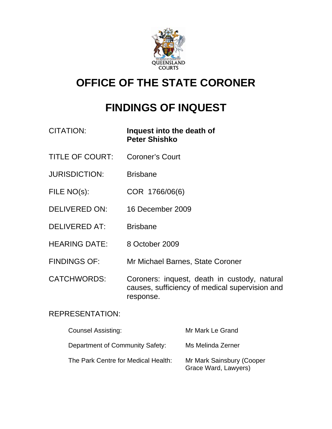

# **OFFICE OF THE STATE CORONER**

# **FINDINGS OF INQUEST**

| <b>CITATION:</b>       | Inquest into the death of<br><b>Peter Shishko</b>                                                           |
|------------------------|-------------------------------------------------------------------------------------------------------------|
| <b>TITLE OF COURT:</b> | Coroner's Court                                                                                             |
| <b>JURISDICTION:</b>   | <b>Brisbane</b>                                                                                             |
| FILE NO(s):            | COR 1766/06(6)                                                                                              |
| <b>DELIVERED ON:</b>   | 16 December 2009                                                                                            |
| <b>DELIVERED AT:</b>   | <b>Brisbane</b>                                                                                             |
| <b>HEARING DATE:</b>   | 8 October 2009                                                                                              |
| <b>FINDINGS OF:</b>    | Mr Michael Barnes, State Coroner                                                                            |
| <b>CATCHWORDS:</b>     | Coroners: inquest, death in custody, natural<br>causes, sufficiency of medical supervision and<br>response. |

# REPRESENTATION:

| <b>Counsel Assisting:</b>           | Mr Mark Le Grand                                  |
|-------------------------------------|---------------------------------------------------|
| Department of Community Safety:     | Ms Melinda Zerner                                 |
| The Park Centre for Medical Health: | Mr Mark Sainsbury (Cooper<br>Grace Ward, Lawyers) |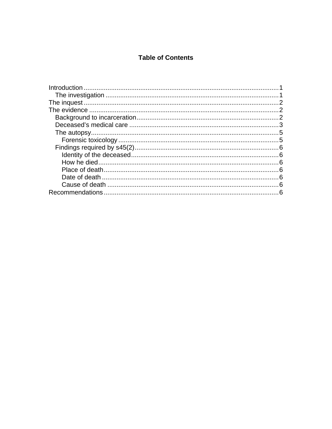# **Table of Contents**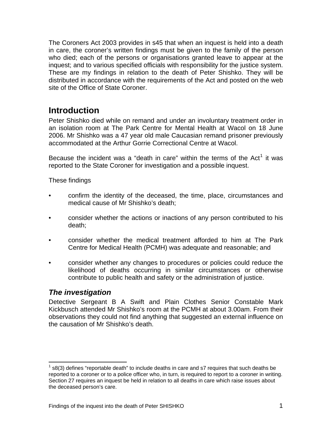<span id="page-2-0"></span>The Coroners Act 2003 provides in s45 that when an inquest is held into a death in care, the coroner's written findings must be given to the family of the person who died; each of the persons or organisations granted leave to appear at the inquest; and to various specified officials with responsibility for the justice system. These are my findings in relation to the death of Peter Shishko. They will be distributed in accordance with the requirements of the Act and posted on the web site of the Office of State Coroner.

# **Introduction**

Peter Shishko died while on remand and under an involuntary treatment order in an isolation room at The Park Centre for Mental Health at Wacol on 18 June 2006. Mr Shishko was a 47 year old male Caucasian remand prisoner previously accommodated at the Arthur Gorrie Correctional Centre at Wacol.

Because the incident was a "death in care" within the terms of the Act<sup>[1](#page-2-1)</sup> it was reported to the State Coroner for investigation and a possible inquest.

These findings

- confirm the identity of the deceased, the time, place, circumstances and medical cause of Mr Shishko's death;
- consider whether the actions or inactions of any person contributed to his death;
- consider whether the medical treatment afforded to him at The Park Centre for Medical Health (PCMH) was adequate and reasonable; and
- consider whether any changes to procedures or policies could reduce the likelihood of deaths occurring in similar circumstances or otherwise contribute to public health and safety or the administration of justice.

# *The investigation*

l

Detective Sergeant B A Swift and Plain Clothes Senior Constable Mark Kickbusch attended Mr Shishko's room at the PCMH at about 3.00am. From their observations they could not find anything that suggested an external influence on the causation of Mr Shishko's death.

<span id="page-2-1"></span> $1$  s8(3) defines "reportable death" to include deaths in care and s7 requires that such deaths be reported to a coroner or to a police officer who, in turn, is required to report to a coroner in writing. Section 27 requires an inquest be held in relation to all deaths in care which raise issues about the deceased person's care.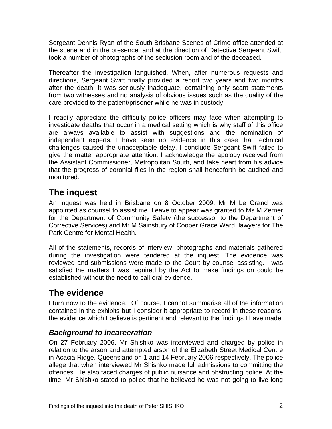<span id="page-3-0"></span>Sergeant Dennis Ryan of the South Brisbane Scenes of Crime office attended at the scene and in the presence, and at the direction of Detective Sergeant Swift, took a number of photographs of the seclusion room and of the deceased.

Thereafter the investigation languished. When, after numerous requests and directions, Sergeant Swift finally provided a report two years and two months after the death, it was seriously inadequate, containing only scant statements from two witnesses and no analysis of obvious issues such as the quality of the care provided to the patient/prisoner while he was in custody.

I readily appreciate the difficulty police officers may face when attempting to investigate deaths that occur in a medical setting which is why staff of this office are always available to assist with suggestions and the nomination of independent experts. I have seen no evidence in this case that technical challenges caused the unacceptable delay. I conclude Sergeant Swift failed to give the matter appropriate attention. I acknowledge the apology received from the Assistant Commissioner, Metropolitan South, and take heart from his advice that the progress of coronial files in the region shall henceforth be audited and monitored.

# **The inquest**

An inquest was held in Brisbane on 8 October 2009. Mr M Le Grand was appointed as counsel to assist me. Leave to appear was granted to Ms M Zerner for the Department of Community Safety (the successor to the Department of Corrective Services) and Mr M Sainsbury of Cooper Grace Ward, lawyers for The Park Centre for Mental Health.

All of the statements, records of interview, photographs and materials gathered during the investigation were tendered at the inquest. The evidence was reviewed and submissions were made to the Court by counsel assisting. I was satisfied the matters I was required by the Act to make findings on could be established without the need to call oral evidence.

# **The evidence**

I turn now to the evidence. Of course, I cannot summarise all of the information contained in the exhibits but I consider it appropriate to record in these reasons, the evidence which I believe is pertinent and relevant to the findings I have made.

# *Background to incarceration*

On 27 February 2006, Mr Shishko was interviewed and charged by police in relation to the arson and attempted arson of the Elizabeth Street Medical Centre in Acacia Ridge, Queensland on 1 and 14 February 2006 respectively. The police allege that when interviewed Mr Shishko made full admissions to committing the offences. He also faced charges of public nuisance and obstructing police. At the time, Mr Shishko stated to police that he believed he was not going to live long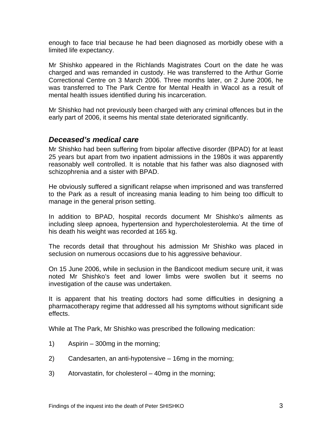<span id="page-4-0"></span>enough to face trial because he had been diagnosed as morbidly obese with a limited life expectancy.

Mr Shishko appeared in the Richlands Magistrates Court on the date he was charged and was remanded in custody. He was transferred to the Arthur Gorrie Correctional Centre on 3 March 2006. Three months later, on 2 June 2006, he was transferred to The Park Centre for Mental Health in Wacol as a result of mental health issues identified during his incarceration.

Mr Shishko had not previously been charged with any criminal offences but in the early part of 2006, it seems his mental state deteriorated significantly.

### *Deceased's medical care*

Mr Shishko had been suffering from bipolar affective disorder (BPAD) for at least 25 years but apart from two inpatient admissions in the 1980s it was apparently reasonably well controlled. It is notable that his father was also diagnosed with schizophrenia and a sister with BPAD.

He obviously suffered a significant relapse when imprisoned and was transferred to the Park as a result of increasing mania leading to him being too difficult to manage in the general prison setting.

In addition to BPAD, hospital records document Mr Shishko's ailments as including sleep apnoea, hypertension and hypercholesterolemia. At the time of his death his weight was recorded at 165 kg.

The records detail that throughout his admission Mr Shishko was placed in seclusion on numerous occasions due to his aggressive behaviour.

On 15 June 2006, while in seclusion in the Bandicoot medium secure unit, it was noted Mr Shishko's feet and lower limbs were swollen but it seems no investigation of the cause was undertaken.

It is apparent that his treating doctors had some difficulties in designing a pharmacotherapy regime that addressed all his symptoms without significant side effects.

While at The Park, Mr Shishko was prescribed the following medication:

- 1) Aspirin 300mg in the morning;
- 2) Candesarten, an anti-hypotensive 16mg in the morning;
- 3) Atorvastatin, for cholesterol 40mg in the morning;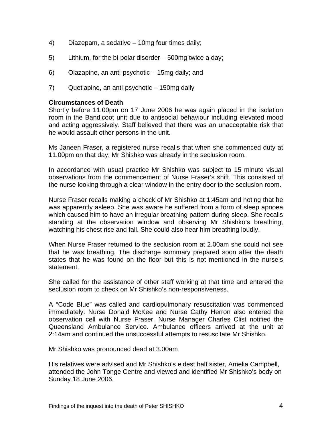- 4) Diazepam, a sedative 10mg four times daily;
- 5) Lithium, for the bi-polar disorder 500mg twice a day;
- 6) Olazapine, an anti-psychotic 15mg daily; and
- 7) Quetiapine, an anti-psychotic 150mg daily

#### **Circumstances of Death**

Shortly before 11.00pm on 17 June 2006 he was again placed in the isolation room in the Bandicoot unit due to antisocial behaviour including elevated mood and acting aggressively. Staff believed that there was an unacceptable risk that he would assault other persons in the unit.

Ms Janeen Fraser, a registered nurse recalls that when she commenced duty at 11.00pm on that day, Mr Shishko was already in the seclusion room.

In accordance with usual practice Mr Shishko was subject to 15 minute visual observations from the commencement of Nurse Fraser's shift. This consisted of the nurse looking through a clear window in the entry door to the seclusion room.

Nurse Fraser recalls making a check of Mr Shishko at 1:45am and noting that he was apparently asleep. She was aware he suffered from a form of sleep apnoea which caused him to have an irregular breathing pattern during sleep. She recalls standing at the observation window and observing Mr Shishko's breathing, watching his chest rise and fall. She could also hear him breathing loudly.

When Nurse Fraser returned to the seclusion room at 2.00am she could not see that he was breathing. The discharge summary prepared soon after the death states that he was found on the floor but this is not mentioned in the nurse's statement.

She called for the assistance of other staff working at that time and entered the seclusion room to check on Mr Shishko's non-responsiveness.

A "Code Blue" was called and cardiopulmonary resuscitation was commenced immediately. Nurse Donald McKee and Nurse Cathy Herron also entered the observation cell with Nurse Fraser. Nurse Manager Charles Clist notified the Queensland Ambulance Service. Ambulance officers arrived at the unit at 2:14am and continued the unsuccessful attempts to resuscitate Mr Shishko.

Mr Shishko was pronounced dead at 3.00am

His relatives were advised and Mr Shishko's eldest half sister, Amelia Campbell, attended the John Tonge Centre and viewed and identified Mr Shishko's body on Sunday 18 June 2006.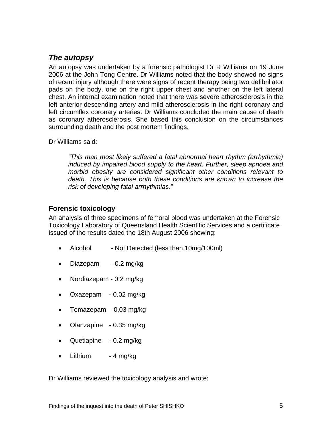# <span id="page-6-0"></span>*The autopsy*

An autopsy was undertaken by a forensic pathologist Dr R Williams on 19 June 2006 at the John Tong Centre. Dr Williams noted that the body showed no signs of recent injury although there were signs of recent therapy being two defibrillator pads on the body, one on the right upper chest and another on the left lateral chest. An internal examination noted that there was severe atherosclerosis in the left anterior descending artery and mild atherosclerosis in the right coronary and left circumflex coronary arteries. Dr Williams concluded the main cause of death as coronary atherosclerosis. She based this conclusion on the circumstances surrounding death and the post mortem findings.

Dr Williams said:

*"This man most likely suffered a fatal abnormal heart rhythm (arrhythmia) induced by impaired blood supply to the heart. Further, sleep apnoea and morbid obesity are considered significant other conditions relevant to death. This is because both these conditions are known to increase the risk of developing fatal arrhythmias."* 

### **Forensic toxicology**

An analysis of three specimens of femoral blood was undertaken at the Forensic Toxicology Laboratory of Queensland Health Scientific Services and a certificate issued of the results dated the 18th August 2006 showing:

- Alcohol Not Detected (less than 10mg/100ml)
- Diazepam 0.2 mg/kg
- Nordiazepam 0.2 mg/kg
- Oxazepam 0.02 mg/kg
- Temazepam 0.03 mg/kg
- Olanzapine 0.35 mg/kg
- Quetiapine 0.2 mg/kg
- Lithium  $-4$  mg/kg

Dr Williams reviewed the toxicology analysis and wrote: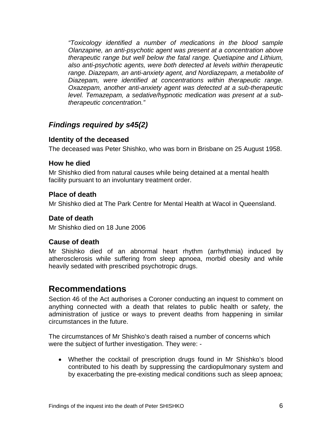<span id="page-7-0"></span>*"Toxicology identified a number of medications in the blood sample Olanzapine, an anti-psychotic agent was present at a concentration above therapeutic range but well below the fatal range. Quetiapine and Lithium, also anti-psychotic agents, were both detected at levels within therapeutic range. Diazepam, an anti-anxiety agent, and Nordiazepam, a metabolite of Diazepam, were identified at concentrations within therapeutic range. Oxazepam, another anti-anxiety agent was detected at a sub-therapeutic level. Temazepam, a sedative/hypnotic medication was present at a subtherapeutic concentration."*

# *Findings required by s45(2)*

### **Identity of the deceased**

The deceased was Peter Shishko, who was born in Brisbane on 25 August 1958.

### **How he died**

Mr Shishko died from natural causes while being detained at a mental health facility pursuant to an involuntary treatment order.

### **Place of death**

Mr Shishko died at The Park Centre for Mental Health at Wacol in Queensland.

# **Date of death**

Mr Shishko died on 18 June 2006

# **Cause of death**

Mr Shishko died of an abnormal heart rhythm (arrhythmia) induced by atherosclerosis while suffering from sleep apnoea, morbid obesity and while heavily sedated with prescribed psychotropic drugs.

# **Recommendations**

Section 46 of the Act authorises a Coroner conducting an inquest to comment on anything connected with a death that relates to public health or safety, the administration of justice or ways to prevent deaths from happening in similar circumstances in the future.

The circumstances of Mr Shishko's death raised a number of concerns which were the subject of further investigation. They were: -

• Whether the cocktail of prescription drugs found in Mr Shishko's blood contributed to his death by suppressing the cardiopulmonary system and by exacerbating the pre-existing medical conditions such as sleep apnoea;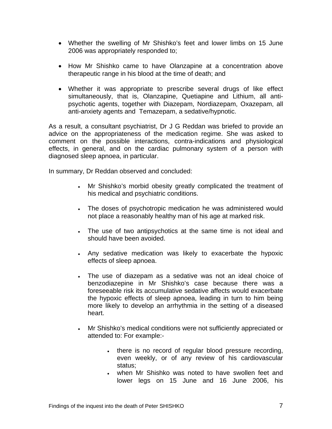- Whether the swelling of Mr Shishko's feet and lower limbs on 15 June 2006 was appropriately responded to;
- How Mr Shishko came to have Olanzapine at a concentration above therapeutic range in his blood at the time of death; and
- Whether it was appropriate to prescribe several drugs of like effect simultaneously, that is, Olanzapine, Quetiapine and Lithium, all antipsychotic agents, together with Diazepam, Nordiazepam, Oxazepam, all anti-anxiety agents and Temazepam, a sedative/hypnotic.

As a result, a consultant psychiatrist, Dr J G Reddan was briefed to provide an advice on the appropriateness of the medication regime. She was asked to comment on the possible interactions, contra-indications and physiological effects, in general, and on the cardiac pulmonary system of a person with diagnosed sleep apnoea, in particular.

In summary, Dr Reddan observed and concluded:

- Mr Shishko's morbid obesity greatly complicated the treatment of his medical and psychiatric conditions.
- The doses of psychotropic medication he was administered would not place a reasonably healthy man of his age at marked risk.
- The use of two antipsychotics at the same time is not ideal and should have been avoided.
- Any sedative medication was likely to exacerbate the hypoxic effects of sleep apnoea.
- The use of diazepam as a sedative was not an ideal choice of benzodiazepine in Mr Shishko's case because there was a foreseeable risk its accumulative sedative affects would exacerbate the hypoxic effects of sleep apnoea, leading in turn to him being more likely to develop an arrhythmia in the setting of a diseased heart.
- Mr Shishko's medical conditions were not sufficiently appreciated or attended to: For example:-
	- there is no record of regular blood pressure recording, even weekly, or of any review of his cardiovascular status;
	- when Mr Shishko was noted to have swollen feet and lower legs on 15 June and 16 June 2006, his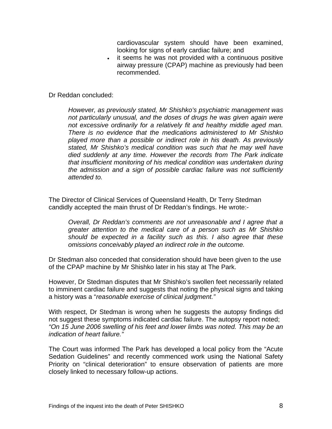cardiovascular system should have been examined, looking for signs of early cardiac failure; and

• it seems he was not provided with a continuous positive airway pressure (CPAP) machine as previously had been recommended.

Dr Reddan concluded:

*However, as previously stated, Mr Shishko's psychiatric management was not particularly unusual, and the doses of drugs he was given again were not excessive ordinarily for a relatively fit and healthy middle aged man. There is no evidence that the medications administered to Mr Shishko played more than a possible or indirect role in his death. As previously stated, Mr Shishko's medical condition was such that he may well have died suddenly at any time. However the records from The Park indicate that insufficient monitoring of his medical condition was undertaken during the admission and a sign of possible cardiac failure was not sufficiently attended to.* 

The Director of Clinical Services of Queensland Health, Dr Terry Stedman candidly accepted the main thrust of Dr Reddan's findings. He wrote:-

*Overall, Dr Reddan's comments are not unreasonable and I agree that a greater attention to the medical care of a person such as Mr Shishko should be expected in a facility such as this. I also agree that these omissions conceivably played an indirect role in the outcome.* 

Dr Stedman also conceded that consideration should have been given to the use of the CPAP machine by Mr Shishko later in his stay at The Park.

However, Dr Stedman disputes that Mr Shishko's swollen feet necessarily related to imminent cardiac failure and suggests that noting the physical signs and taking a history was a "*reasonable exercise of clinical judgment."*

With respect, Dr Stedman is wrong when he suggests the autopsy findings did not suggest these symptoms indicated cardiac failure. The autopsy report noted; *"On 15 June 2006 swelling of his feet and lower limbs was noted. This may be an indication of heart failure."* 

The Court was informed The Park has developed a local policy from the "Acute Sedation Guidelines" and recently commenced work using the National Safety Priority on "clinical deterioration" to ensure observation of patients are more closely linked to necessary follow-up actions.